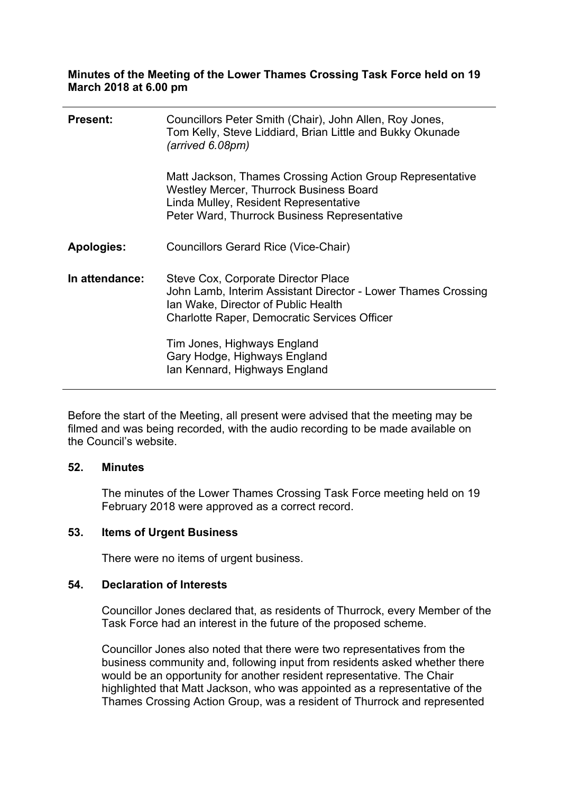### **Minutes of the Meeting of the Lower Thames Crossing Task Force held on 19 March 2018 at 6.00 pm**

| <b>Present:</b>   | Councillors Peter Smith (Chair), John Allen, Roy Jones,<br>Tom Kelly, Steve Liddiard, Brian Little and Bukky Okunade<br>(arrived 6.08pm)                                                             |
|-------------------|------------------------------------------------------------------------------------------------------------------------------------------------------------------------------------------------------|
|                   | Matt Jackson, Thames Crossing Action Group Representative<br><b>Westley Mercer, Thurrock Business Board</b><br>Linda Mulley, Resident Representative<br>Peter Ward, Thurrock Business Representative |
| <b>Apologies:</b> | <b>Councillors Gerard Rice (Vice-Chair)</b>                                                                                                                                                          |
| In attendance:    | Steve Cox, Corporate Director Place<br>John Lamb, Interim Assistant Director - Lower Thames Crossing<br>Ian Wake, Director of Public Health<br><b>Charlotte Raper, Democratic Services Officer</b>   |
|                   | Tim Jones, Highways England<br>Gary Hodge, Highways England<br>Ian Kennard, Highways England                                                                                                         |

Before the start of the Meeting, all present were advised that the meeting may be filmed and was being recorded, with the audio recording to be made available on the Council's website.

#### **52. Minutes**

The minutes of the Lower Thames Crossing Task Force meeting held on 19 February 2018 were approved as a correct record.

## **53. Items of Urgent Business**

There were no items of urgent business.

#### **54. Declaration of Interests**

Councillor Jones declared that, as residents of Thurrock, every Member of the Task Force had an interest in the future of the proposed scheme.

Councillor Jones also noted that there were two representatives from the business community and, following input from residents asked whether there would be an opportunity for another resident representative. The Chair highlighted that Matt Jackson, who was appointed as a representative of the Thames Crossing Action Group, was a resident of Thurrock and represented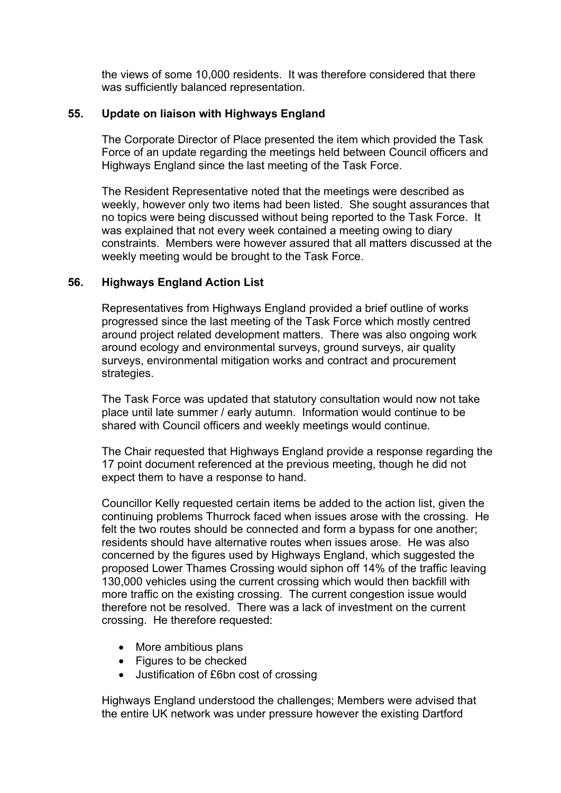the views of some 10,000 residents. It was therefore considered that there was sufficiently balanced representation.

## **55. Update on liaison with Highways England**

The Corporate Director of Place presented the item which provided the Task Force of an update regarding the meetings held between Council officers and Highways England since the last meeting of the Task Force.

The Resident Representative noted that the meetings were described as weekly, however only two items had been listed. She sought assurances that no topics were being discussed without being reported to the Task Force. It was explained that not every week contained a meeting owing to diary constraints. Members were however assured that all matters discussed at the weekly meeting would be brought to the Task Force.

## **56. Highways England Action List**

Representatives from Highways England provided a brief outline of works progressed since the last meeting of the Task Force which mostly centred around project related development matters. There was also ongoing work around ecology and environmental surveys, ground surveys, air quality surveys, environmental mitigation works and contract and procurement strategies.

The Task Force was updated that statutory consultation would now not take place until late summer / early autumn. Information would continue to be shared with Council officers and weekly meetings would continue.

The Chair requested that Highways England provide a response regarding the 17 point document referenced at the previous meeting, though he did not expect them to have a response to hand.

Councillor Kelly requested certain items be added to the action list, given the continuing problems Thurrock faced when issues arose with the crossing. He felt the two routes should be connected and form a bypass for one another; residents should have alternative routes when issues arose. He was also concerned by the figures used by Highways England, which suggested the proposed Lower Thames Crossing would siphon off 14% of the traffic leaving 130,000 vehicles using the current crossing which would then backfill with more traffic on the existing crossing. The current congestion issue would therefore not be resolved. There was a lack of investment on the current crossing. He therefore requested:

- More ambitious plans
- Figures to be checked
- Justification of £6bn cost of crossing

Highways England understood the challenges; Members were advised that the entire UK network was under pressure however the existing Dartford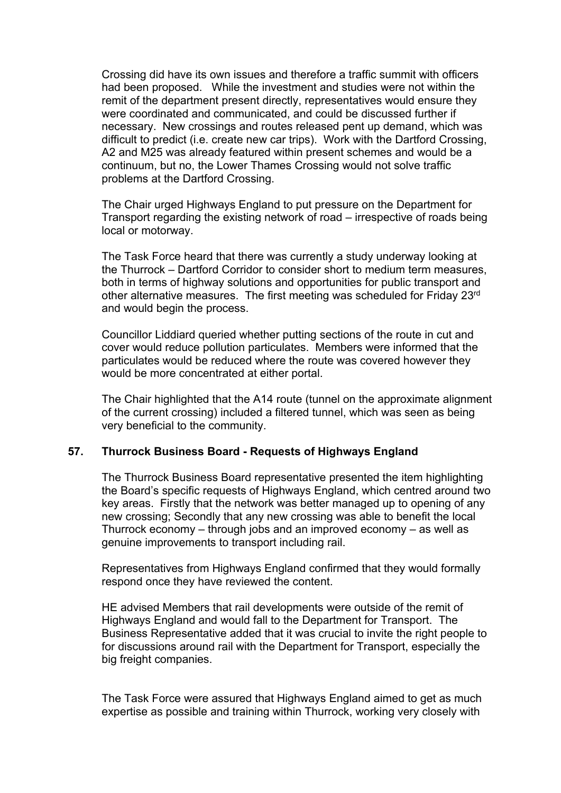Crossing did have its own issues and therefore a traffic summit with officers had been proposed. While the investment and studies were not within the remit of the department present directly, representatives would ensure they were coordinated and communicated, and could be discussed further if necessary. New crossings and routes released pent up demand, which was difficult to predict (i.e. create new car trips). Work with the Dartford Crossing, A2 and M25 was already featured within present schemes and would be a continuum, but no, the Lower Thames Crossing would not solve traffic problems at the Dartford Crossing.

The Chair urged Highways England to put pressure on the Department for Transport regarding the existing network of road – irrespective of roads being local or motorway.

The Task Force heard that there was currently a study underway looking at the Thurrock – Dartford Corridor to consider short to medium term measures, both in terms of highway solutions and opportunities for public transport and other alternative measures. The first meeting was scheduled for Friday 23rd and would begin the process.

Councillor Liddiard queried whether putting sections of the route in cut and cover would reduce pollution particulates. Members were informed that the particulates would be reduced where the route was covered however they would be more concentrated at either portal.

The Chair highlighted that the A14 route (tunnel on the approximate alignment of the current crossing) included a filtered tunnel, which was seen as being very beneficial to the community.

### **57. Thurrock Business Board - Requests of Highways England**

The Thurrock Business Board representative presented the item highlighting the Board's specific requests of Highways England, which centred around two key areas. Firstly that the network was better managed up to opening of any new crossing; Secondly that any new crossing was able to benefit the local Thurrock economy – through jobs and an improved economy – as well as genuine improvements to transport including rail.

Representatives from Highways England confirmed that they would formally respond once they have reviewed the content.

HE advised Members that rail developments were outside of the remit of Highways England and would fall to the Department for Transport. The Business Representative added that it was crucial to invite the right people to for discussions around rail with the Department for Transport, especially the big freight companies.

The Task Force were assured that Highways England aimed to get as much expertise as possible and training within Thurrock, working very closely with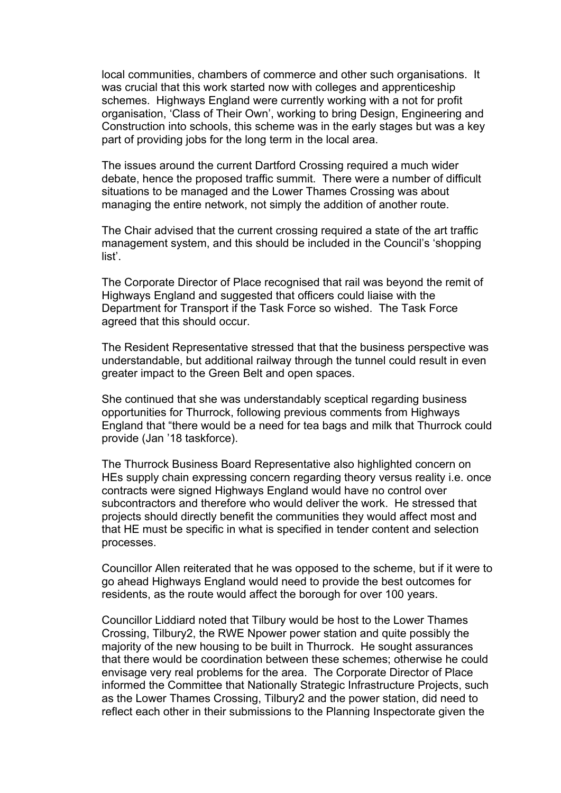local communities, chambers of commerce and other such organisations. It was crucial that this work started now with colleges and apprenticeship schemes. Highways England were currently working with a not for profit organisation, 'Class of Their Own', working to bring Design, Engineering and Construction into schools, this scheme was in the early stages but was a key part of providing jobs for the long term in the local area.

The issues around the current Dartford Crossing required a much wider debate, hence the proposed traffic summit. There were a number of difficult situations to be managed and the Lower Thames Crossing was about managing the entire network, not simply the addition of another route.

The Chair advised that the current crossing required a state of the art traffic management system, and this should be included in the Council's 'shopping list'.

The Corporate Director of Place recognised that rail was beyond the remit of Highways England and suggested that officers could liaise with the Department for Transport if the Task Force so wished. The Task Force agreed that this should occur.

The Resident Representative stressed that that the business perspective was understandable, but additional railway through the tunnel could result in even greater impact to the Green Belt and open spaces.

She continued that she was understandably sceptical regarding business opportunities for Thurrock, following previous comments from Highways England that "there would be a need for tea bags and milk that Thurrock could provide (Jan '18 taskforce).

The Thurrock Business Board Representative also highlighted concern on HEs supply chain expressing concern regarding theory versus reality i.e. once contracts were signed Highways England would have no control over subcontractors and therefore who would deliver the work. He stressed that projects should directly benefit the communities they would affect most and that HE must be specific in what is specified in tender content and selection processes.

Councillor Allen reiterated that he was opposed to the scheme, but if it were to go ahead Highways England would need to provide the best outcomes for residents, as the route would affect the borough for over 100 years.

Councillor Liddiard noted that Tilbury would be host to the Lower Thames Crossing, Tilbury2, the RWE Npower power station and quite possibly the majority of the new housing to be built in Thurrock. He sought assurances that there would be coordination between these schemes; otherwise he could envisage very real problems for the area. The Corporate Director of Place informed the Committee that Nationally Strategic Infrastructure Projects, such as the Lower Thames Crossing, Tilbury2 and the power station, did need to reflect each other in their submissions to the Planning Inspectorate given the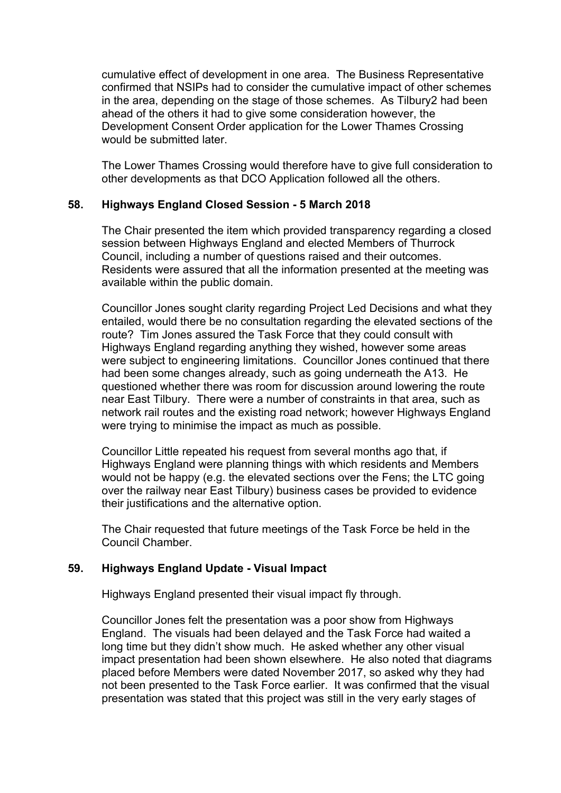cumulative effect of development in one area. The Business Representative confirmed that NSIPs had to consider the cumulative impact of other schemes in the area, depending on the stage of those schemes. As Tilbury2 had been ahead of the others it had to give some consideration however, the Development Consent Order application for the Lower Thames Crossing would be submitted later.

The Lower Thames Crossing would therefore have to give full consideration to other developments as that DCO Application followed all the others.

## **58. Highways England Closed Session - 5 March 2018**

The Chair presented the item which provided transparency regarding a closed session between Highways England and elected Members of Thurrock Council, including a number of questions raised and their outcomes. Residents were assured that all the information presented at the meeting was available within the public domain.

Councillor Jones sought clarity regarding Project Led Decisions and what they entailed, would there be no consultation regarding the elevated sections of the route? Tim Jones assured the Task Force that they could consult with Highways England regarding anything they wished, however some areas were subject to engineering limitations. Councillor Jones continued that there had been some changes already, such as going underneath the A13. He questioned whether there was room for discussion around lowering the route near East Tilbury. There were a number of constraints in that area, such as network rail routes and the existing road network; however Highways England were trying to minimise the impact as much as possible.

Councillor Little repeated his request from several months ago that, if Highways England were planning things with which residents and Members would not be happy (e.g. the elevated sections over the Fens; the LTC going over the railway near East Tilbury) business cases be provided to evidence their justifications and the alternative option.

The Chair requested that future meetings of the Task Force be held in the Council Chamber.

# **59. Highways England Update - Visual Impact**

Highways England presented their visual impact fly through.

Councillor Jones felt the presentation was a poor show from Highways England. The visuals had been delayed and the Task Force had waited a long time but they didn't show much. He asked whether any other visual impact presentation had been shown elsewhere. He also noted that diagrams placed before Members were dated November 2017, so asked why they had not been presented to the Task Force earlier. It was confirmed that the visual presentation was stated that this project was still in the very early stages of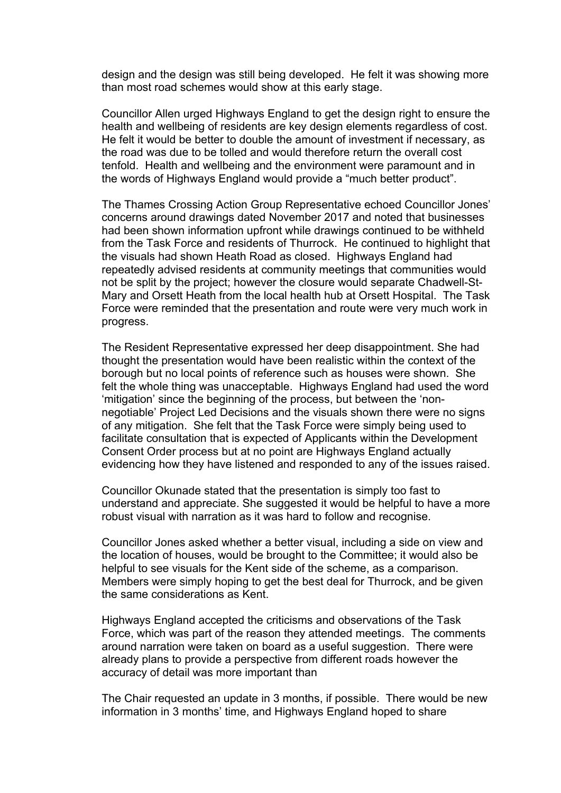design and the design was still being developed. He felt it was showing more than most road schemes would show at this early stage.

Councillor Allen urged Highways England to get the design right to ensure the health and wellbeing of residents are key design elements regardless of cost. He felt it would be better to double the amount of investment if necessary, as the road was due to be tolled and would therefore return the overall cost tenfold. Health and wellbeing and the environment were paramount and in the words of Highways England would provide a "much better product".

The Thames Crossing Action Group Representative echoed Councillor Jones' concerns around drawings dated November 2017 and noted that businesses had been shown information upfront while drawings continued to be withheld from the Task Force and residents of Thurrock. He continued to highlight that the visuals had shown Heath Road as closed. Highways England had repeatedly advised residents at community meetings that communities would not be split by the project; however the closure would separate Chadwell-St-Mary and Orsett Heath from the local health hub at Orsett Hospital. The Task Force were reminded that the presentation and route were very much work in progress.

The Resident Representative expressed her deep disappointment. She had thought the presentation would have been realistic within the context of the borough but no local points of reference such as houses were shown. She felt the whole thing was unacceptable. Highways England had used the word 'mitigation' since the beginning of the process, but between the 'nonnegotiable' Project Led Decisions and the visuals shown there were no signs of any mitigation. She felt that the Task Force were simply being used to facilitate consultation that is expected of Applicants within the Development Consent Order process but at no point are Highways England actually evidencing how they have listened and responded to any of the issues raised.

Councillor Okunade stated that the presentation is simply too fast to understand and appreciate. She suggested it would be helpful to have a more robust visual with narration as it was hard to follow and recognise.

Councillor Jones asked whether a better visual, including a side on view and the location of houses, would be brought to the Committee; it would also be helpful to see visuals for the Kent side of the scheme, as a comparison. Members were simply hoping to get the best deal for Thurrock, and be given the same considerations as Kent.

Highways England accepted the criticisms and observations of the Task Force, which was part of the reason they attended meetings. The comments around narration were taken on board as a useful suggestion. There were already plans to provide a perspective from different roads however the accuracy of detail was more important than

The Chair requested an update in 3 months, if possible. There would be new information in 3 months' time, and Highways England hoped to share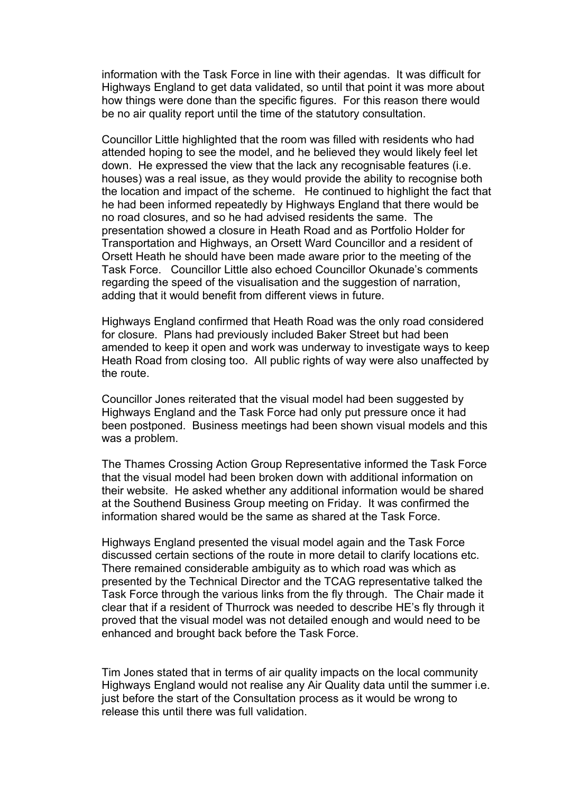information with the Task Force in line with their agendas. It was difficult for Highways England to get data validated, so until that point it was more about how things were done than the specific figures. For this reason there would be no air quality report until the time of the statutory consultation.

Councillor Little highlighted that the room was filled with residents who had attended hoping to see the model, and he believed they would likely feel let down. He expressed the view that the lack any recognisable features (i.e. houses) was a real issue, as they would provide the ability to recognise both the location and impact of the scheme. He continued to highlight the fact that he had been informed repeatedly by Highways England that there would be no road closures, and so he had advised residents the same. The presentation showed a closure in Heath Road and as Portfolio Holder for Transportation and Highways, an Orsett Ward Councillor and a resident of Orsett Heath he should have been made aware prior to the meeting of the Task Force. Councillor Little also echoed Councillor Okunade's comments regarding the speed of the visualisation and the suggestion of narration, adding that it would benefit from different views in future.

Highways England confirmed that Heath Road was the only road considered for closure. Plans had previously included Baker Street but had been amended to keep it open and work was underway to investigate ways to keep Heath Road from closing too. All public rights of way were also unaffected by the route.

Councillor Jones reiterated that the visual model had been suggested by Highways England and the Task Force had only put pressure once it had been postponed. Business meetings had been shown visual models and this was a problem.

The Thames Crossing Action Group Representative informed the Task Force that the visual model had been broken down with additional information on their website. He asked whether any additional information would be shared at the Southend Business Group meeting on Friday. It was confirmed the information shared would be the same as shared at the Task Force.

Highways England presented the visual model again and the Task Force discussed certain sections of the route in more detail to clarify locations etc. There remained considerable ambiguity as to which road was which as presented by the Technical Director and the TCAG representative talked the Task Force through the various links from the fly through. The Chair made it clear that if a resident of Thurrock was needed to describe HE's fly through it proved that the visual model was not detailed enough and would need to be enhanced and brought back before the Task Force.

Tim Jones stated that in terms of air quality impacts on the local community Highways England would not realise any Air Quality data until the summer i.e. just before the start of the Consultation process as it would be wrong to release this until there was full validation.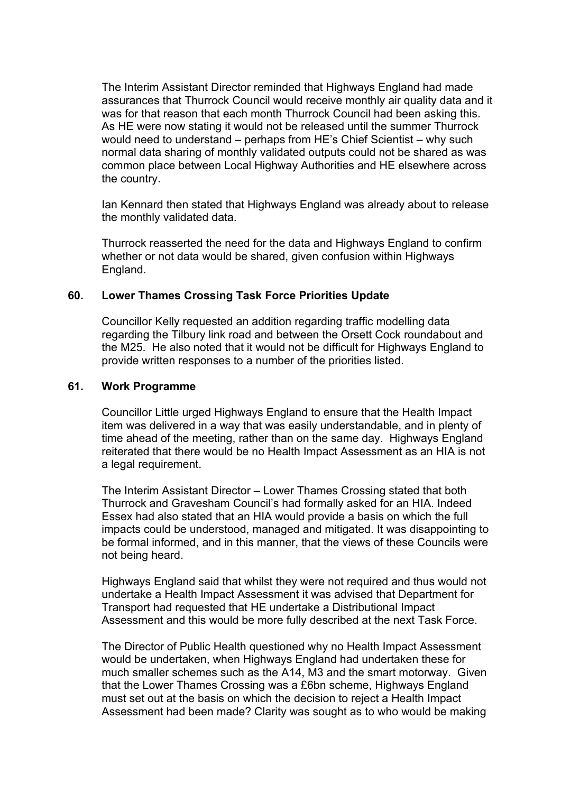The Interim Assistant Director reminded that Highways England had made assurances that Thurrock Council would receive monthly air quality data and it was for that reason that each month Thurrock Council had been asking this. As HE were now stating it would not be released until the summer Thurrock would need to understand – perhaps from HE's Chief Scientist – why such normal data sharing of monthly validated outputs could not be shared as was common place between Local Highway Authorities and HE elsewhere across the country.

Ian Kennard then stated that Highways England was already about to release the monthly validated data.

Thurrock reasserted the need for the data and Highways England to confirm whether or not data would be shared, given confusion within Highways England.

### **60. Lower Thames Crossing Task Force Priorities Update**

Councillor Kelly requested an addition regarding traffic modelling data regarding the Tilbury link road and between the Orsett Cock roundabout and the M25. He also noted that it would not be difficult for Highways England to provide written responses to a number of the priorities listed.

#### **61. Work Programme**

Councillor Little urged Highways England to ensure that the Health Impact item was delivered in a way that was easily understandable, and in plenty of time ahead of the meeting, rather than on the same day. Highways England reiterated that there would be no Health Impact Assessment as an HIA is not a legal requirement.

The Interim Assistant Director – Lower Thames Crossing stated that both Thurrock and Gravesham Council's had formally asked for an HIA. Indeed Essex had also stated that an HIA would provide a basis on which the full impacts could be understood, managed and mitigated. It was disappointing to be formal informed, and in this manner, that the views of these Councils were not being heard.

Highways England said that whilst they were not required and thus would not undertake a Health Impact Assessment it was advised that Department for Transport had requested that HE undertake a Distributional Impact Assessment and this would be more fully described at the next Task Force.

The Director of Public Health questioned why no Health Impact Assessment would be undertaken, when Highways England had undertaken these for much smaller schemes such as the A14, M3 and the smart motorway. Given that the Lower Thames Crossing was a £6bn scheme, Highways England must set out at the basis on which the decision to reject a Health Impact Assessment had been made? Clarity was sought as to who would be making